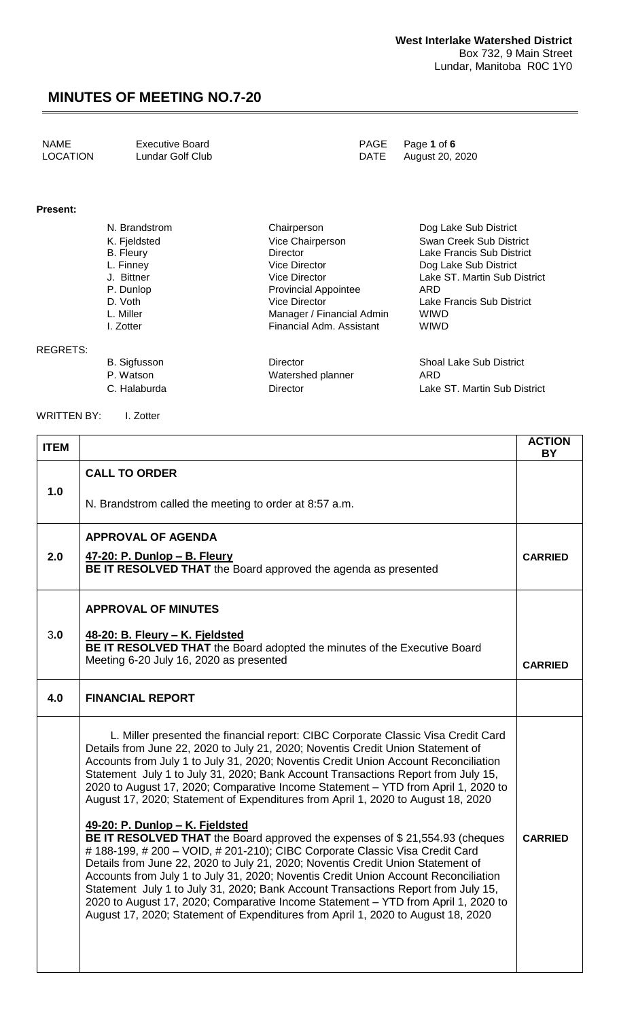| NAME<br>Executive Board<br>LOCATION<br>Lundar Golf Club | PAGE Page 1 of 6<br>DATE August 20, 2020 |
|---------------------------------------------------------|------------------------------------------|
|---------------------------------------------------------|------------------------------------------|

#### **Present:**

REGRETS:

| N. Brandstrom | Chairperson                 | Dog Lake Sub District        |
|---------------|-----------------------------|------------------------------|
| K. Fjeldsted  | Vice Chairperson            | Swan Creek Sub District      |
| B. Fleury     | <b>Director</b>             | Lake Francis Sub District    |
| L. Finney     | Vice Director               | Dog Lake Sub District        |
| J. Bittner    | <b>Vice Director</b>        | Lake ST. Martin Sub District |
| P. Dunlop     | <b>Provincial Appointee</b> | ARD                          |
| D. Voth       | Vice Director               | Lake Francis Sub District    |
| L. Miller     | Manager / Financial Admin   | <b>WIWD</b>                  |
| I. Zotter     | Financial Adm. Assistant    | <b>WIWD</b>                  |
|               |                             |                              |
|               |                             |                              |

Watershed planner

B. Sigfusson Director Shoal Lake Sub District C. Halaburda **Director** Director **Lake ST. Martin Sub District** 

WRITTEN BY: I. Zotter

| <b>ITEM</b> |                                                                                                                                                                                                                                                                                                                                                                                                                                                                                                                                                                                                                                                                                                                             | <b>ACTION</b><br><b>BY</b> |
|-------------|-----------------------------------------------------------------------------------------------------------------------------------------------------------------------------------------------------------------------------------------------------------------------------------------------------------------------------------------------------------------------------------------------------------------------------------------------------------------------------------------------------------------------------------------------------------------------------------------------------------------------------------------------------------------------------------------------------------------------------|----------------------------|
|             | <b>CALL TO ORDER</b>                                                                                                                                                                                                                                                                                                                                                                                                                                                                                                                                                                                                                                                                                                        |                            |
| 1.0         | N. Brandstrom called the meeting to order at 8:57 a.m.                                                                                                                                                                                                                                                                                                                                                                                                                                                                                                                                                                                                                                                                      |                            |
|             | <b>APPROVAL OF AGENDA</b>                                                                                                                                                                                                                                                                                                                                                                                                                                                                                                                                                                                                                                                                                                   |                            |
| 2.0         | <u>47-20: P. Dunlop - B. Fleury</u><br>BE IT RESOLVED THAT the Board approved the agenda as presented                                                                                                                                                                                                                                                                                                                                                                                                                                                                                                                                                                                                                       | <b>CARRIED</b>             |
|             | <b>APPROVAL OF MINUTES</b>                                                                                                                                                                                                                                                                                                                                                                                                                                                                                                                                                                                                                                                                                                  |                            |
| 3.0         | 48-20: B. Fleury - K. Fjeldsted<br>BE IT RESOLVED THAT the Board adopted the minutes of the Executive Board                                                                                                                                                                                                                                                                                                                                                                                                                                                                                                                                                                                                                 |                            |
|             | Meeting 6-20 July 16, 2020 as presented                                                                                                                                                                                                                                                                                                                                                                                                                                                                                                                                                                                                                                                                                     | <b>CARRIED</b>             |
| 4.0         | <b>FINANCIAL REPORT</b>                                                                                                                                                                                                                                                                                                                                                                                                                                                                                                                                                                                                                                                                                                     |                            |
|             | L. Miller presented the financial report: CIBC Corporate Classic Visa Credit Card<br>Details from June 22, 2020 to July 21, 2020; Noventis Credit Union Statement of<br>Accounts from July 1 to July 31, 2020; Noventis Credit Union Account Reconciliation<br>Statement July 1 to July 31, 2020; Bank Account Transactions Report from July 15,<br>2020 to August 17, 2020; Comparative Income Statement - YTD from April 1, 2020 to<br>August 17, 2020; Statement of Expenditures from April 1, 2020 to August 18, 2020<br>49-20: P. Dunlop - K. Fjeldsted<br>BE IT RESOLVED THAT the Board approved the expenses of \$21,554.93 (cheques<br># 188-199, # 200 - VOID, # 201-210); CIBC Corporate Classic Visa Credit Card | <b>CARRIED</b>             |
|             | Details from June 22, 2020 to July 21, 2020; Noventis Credit Union Statement of<br>Accounts from July 1 to July 31, 2020; Noventis Credit Union Account Reconciliation<br>Statement July 1 to July 31, 2020; Bank Account Transactions Report from July 15,<br>2020 to August 17, 2020; Comparative Income Statement - YTD from April 1, 2020 to<br>August 17, 2020; Statement of Expenditures from April 1, 2020 to August 18, 2020                                                                                                                                                                                                                                                                                        |                            |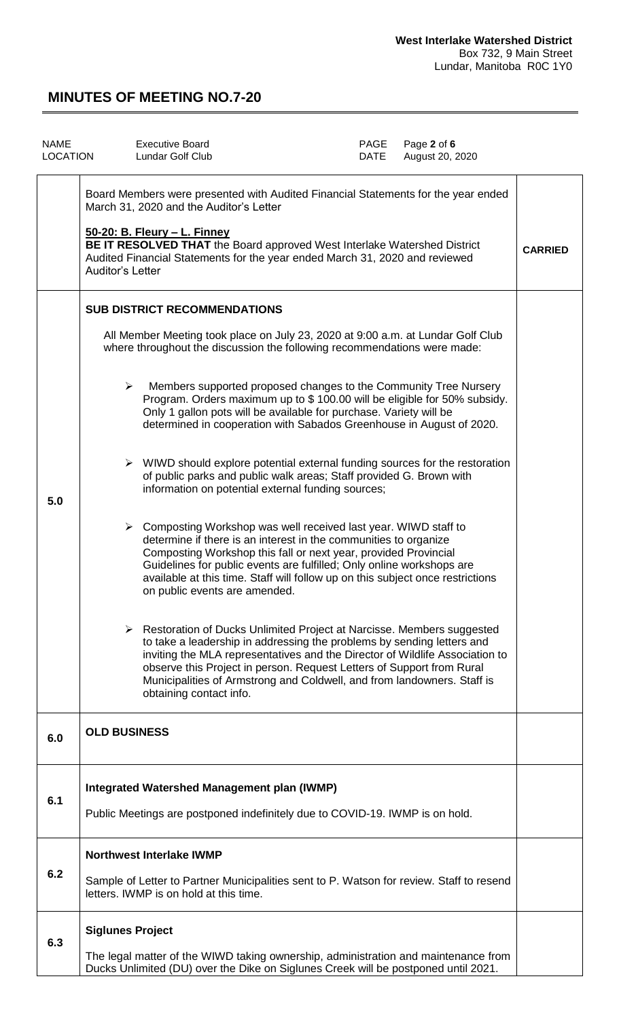| <b>NAME</b><br><b>LOCATION</b> |                                                                                                                                                                                                                                                                                                                                                    | <b>Executive Board</b><br><b>Lundar Golf Club</b>                                                                                                                                                                                                                                                                                                                                                                  | PAGE<br>DATE | Page 2 of 6<br>August 20, 2020 |                |
|--------------------------------|----------------------------------------------------------------------------------------------------------------------------------------------------------------------------------------------------------------------------------------------------------------------------------------------------------------------------------------------------|--------------------------------------------------------------------------------------------------------------------------------------------------------------------------------------------------------------------------------------------------------------------------------------------------------------------------------------------------------------------------------------------------------------------|--------------|--------------------------------|----------------|
|                                | Board Members were presented with Audited Financial Statements for the year ended<br>March 31, 2020 and the Auditor's Letter<br>50-20: B. Fleury - L. Finney<br>BE IT RESOLVED THAT the Board approved West Interlake Watershed District<br>Audited Financial Statements for the year ended March 31, 2020 and reviewed<br><b>Auditor's Letter</b> |                                                                                                                                                                                                                                                                                                                                                                                                                    |              |                                | <b>CARRIED</b> |
|                                |                                                                                                                                                                                                                                                                                                                                                    | <b>SUB DISTRICT RECOMMENDATIONS</b>                                                                                                                                                                                                                                                                                                                                                                                |              |                                |                |
|                                |                                                                                                                                                                                                                                                                                                                                                    | All Member Meeting took place on July 23, 2020 at 9:00 a.m. at Lundar Golf Club<br>where throughout the discussion the following recommendations were made:                                                                                                                                                                                                                                                        |              |                                |                |
|                                |                                                                                                                                                                                                                                                                                                                                                    | Members supported proposed changes to the Community Tree Nursery<br>➤<br>Program. Orders maximum up to \$100.00 will be eligible for 50% subsidy.<br>Only 1 gallon pots will be available for purchase. Variety will be<br>determined in cooperation with Sabados Greenhouse in August of 2020.                                                                                                                    |              |                                |                |
| 5.0                            |                                                                                                                                                                                                                                                                                                                                                    | $\triangleright$ WIWD should explore potential external funding sources for the restoration<br>of public parks and public walk areas; Staff provided G. Brown with<br>information on potential external funding sources;                                                                                                                                                                                           |              |                                |                |
|                                |                                                                                                                                                                                                                                                                                                                                                    | $\triangleright$ Composting Workshop was well received last year. WIWD staff to<br>determine if there is an interest in the communities to organize<br>Composting Workshop this fall or next year, provided Provincial<br>Guidelines for public events are fulfilled; Only online workshops are<br>available at this time. Staff will follow up on this subject once restrictions<br>on public events are amended. |              |                                |                |
|                                |                                                                                                                                                                                                                                                                                                                                                    | ► Restoration of Ducks Unlimited Project at Narcisse. Members suggested<br>to take a leadership in addressing the problems by sending letters and<br>inviting the MLA representatives and the Director of Wildlife Association to<br>observe this Project in person. Request Letters of Support from Rural<br>Municipalities of Armstrong and Coldwell, and from landowners. Staff is<br>obtaining contact info.   |              |                                |                |
| 6.0                            | <b>OLD BUSINESS</b>                                                                                                                                                                                                                                                                                                                                |                                                                                                                                                                                                                                                                                                                                                                                                                    |              |                                |                |
| 6.1                            |                                                                                                                                                                                                                                                                                                                                                    | Integrated Watershed Management plan (IWMP)<br>Public Meetings are postponed indefinitely due to COVID-19. IWMP is on hold.                                                                                                                                                                                                                                                                                        |              |                                |                |
| 6.2                            |                                                                                                                                                                                                                                                                                                                                                    | <b>Northwest Interlake IWMP</b>                                                                                                                                                                                                                                                                                                                                                                                    |              |                                |                |
|                                |                                                                                                                                                                                                                                                                                                                                                    | Sample of Letter to Partner Municipalities sent to P. Watson for review. Staff to resend<br>letters. IWMP is on hold at this time.                                                                                                                                                                                                                                                                                 |              |                                |                |
| 6.3                            |                                                                                                                                                                                                                                                                                                                                                    | <b>Siglunes Project</b>                                                                                                                                                                                                                                                                                                                                                                                            |              |                                |                |
|                                |                                                                                                                                                                                                                                                                                                                                                    | The legal matter of the WIWD taking ownership, administration and maintenance from<br>Ducks Unlimited (DU) over the Dike on Siglunes Creek will be postponed until 2021.                                                                                                                                                                                                                                           |              |                                |                |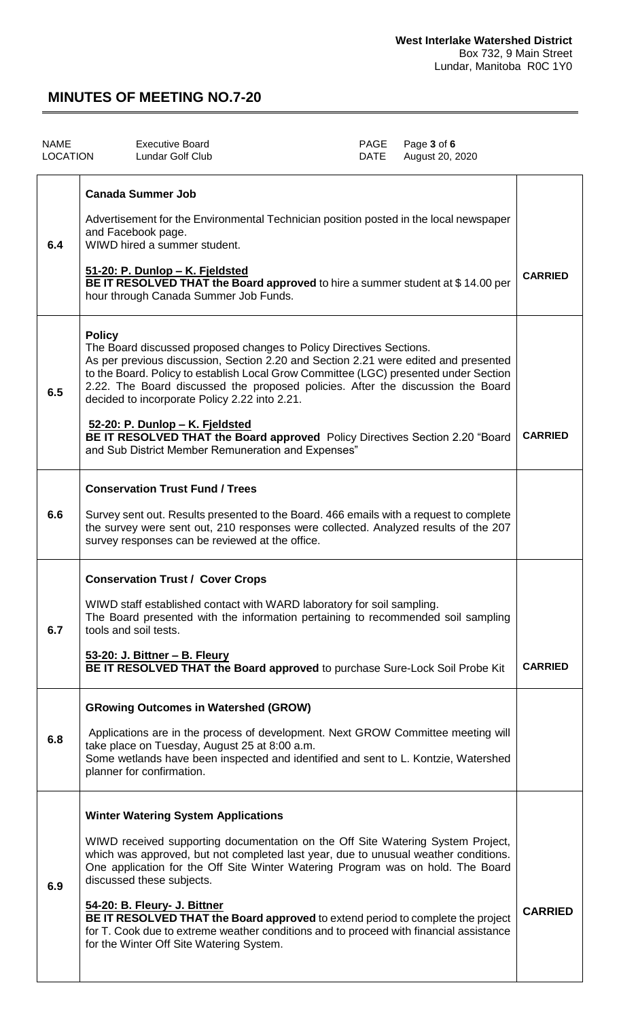| <b>NAME</b><br><b>LOCATION</b> |               | <b>Executive Board</b><br><b>Lundar Golf Club</b>                                                                                                                                                                                                                                                                                                                                                                                                                                                                                                                                                    | PAGE<br>DATE | Page 3 of 6<br>August 20, 2020 |                |
|--------------------------------|---------------|------------------------------------------------------------------------------------------------------------------------------------------------------------------------------------------------------------------------------------------------------------------------------------------------------------------------------------------------------------------------------------------------------------------------------------------------------------------------------------------------------------------------------------------------------------------------------------------------------|--------------|--------------------------------|----------------|
| 6.4                            |               | <b>Canada Summer Job</b><br>Advertisement for the Environmental Technician position posted in the local newspaper<br>and Facebook page.<br>WIWD hired a summer student.<br>51-20: P. Dunlop - K. Fjeldsted<br>BE IT RESOLVED THAT the Board approved to hire a summer student at \$14.00 per<br>hour through Canada Summer Job Funds.                                                                                                                                                                                                                                                                |              |                                | <b>CARRIED</b> |
| 6.5                            | <b>Policy</b> | The Board discussed proposed changes to Policy Directives Sections.<br>As per previous discussion, Section 2.20 and Section 2.21 were edited and presented<br>to the Board. Policy to establish Local Grow Committee (LGC) presented under Section<br>2.22. The Board discussed the proposed policies. After the discussion the Board<br>decided to incorporate Policy 2.22 into 2.21.<br>52-20: P. Dunlop - K. Fjeldsted<br>BE IT RESOLVED THAT the Board approved Policy Directives Section 2.20 "Board<br>and Sub District Member Remuneration and Expenses"                                      |              |                                | <b>CARRIED</b> |
| 6.6                            |               | <b>Conservation Trust Fund / Trees</b><br>Survey sent out. Results presented to the Board. 466 emails with a request to complete<br>the survey were sent out, 210 responses were collected. Analyzed results of the 207<br>survey responses can be reviewed at the office.                                                                                                                                                                                                                                                                                                                           |              |                                |                |
| 6.7                            |               | <b>Conservation Trust / Cover Crops</b><br>WIWD staff established contact with WARD laboratory for soil sampling.<br>The Board presented with the information pertaining to recommended soil sampling<br>tools and soil tests.<br>53-20: J. Bittner - B. Fleury<br>BE IT RESOLVED THAT the Board approved to purchase Sure-Lock Soil Probe Kit                                                                                                                                                                                                                                                       |              |                                | <b>CARRIED</b> |
| 6.8                            |               | <b>GRowing Outcomes in Watershed (GROW)</b><br>Applications are in the process of development. Next GROW Committee meeting will<br>take place on Tuesday, August 25 at 8:00 a.m.<br>Some wetlands have been inspected and identified and sent to L. Kontzie, Watershed<br>planner for confirmation.                                                                                                                                                                                                                                                                                                  |              |                                |                |
| 6.9                            |               | <b>Winter Watering System Applications</b><br>WIWD received supporting documentation on the Off Site Watering System Project,<br>which was approved, but not completed last year, due to unusual weather conditions.<br>One application for the Off Site Winter Watering Program was on hold. The Board<br>discussed these subjects.<br>54-20: B. Fleury- J. Bittner<br><b>BE IT RESOLVED THAT the Board approved</b> to extend period to complete the project<br>for T. Cook due to extreme weather conditions and to proceed with financial assistance<br>for the Winter Off Site Watering System. |              |                                | <b>CARRIED</b> |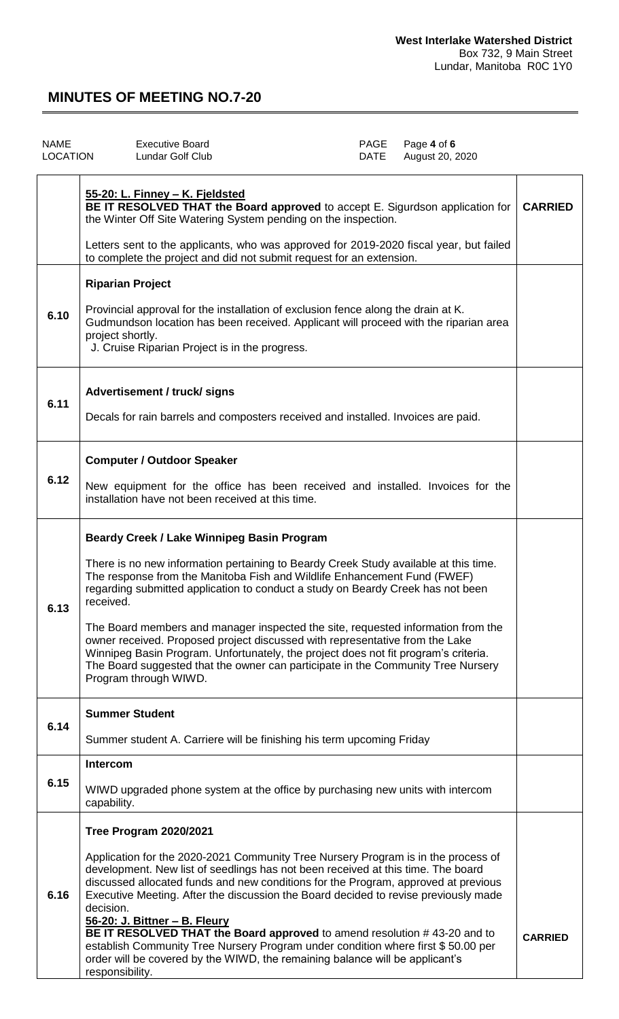| <b>NAME</b><br><b>LOCATION</b> | <b>Executive Board</b><br>Lundar Golf Club                                                                                                                                                                                                                                                                                                                                                                                                                                                                                                                                                                                                                                                    | PAGE<br>DATE | Page 4 of 6<br>August 20, 2020 |                |
|--------------------------------|-----------------------------------------------------------------------------------------------------------------------------------------------------------------------------------------------------------------------------------------------------------------------------------------------------------------------------------------------------------------------------------------------------------------------------------------------------------------------------------------------------------------------------------------------------------------------------------------------------------------------------------------------------------------------------------------------|--------------|--------------------------------|----------------|
|                                | 55-20: L. Finney - K. Fjeldsted<br>BE IT RESOLVED THAT the Board approved to accept E. Sigurdson application for<br>the Winter Off Site Watering System pending on the inspection.<br>Letters sent to the applicants, who was approved for 2019-2020 fiscal year, but failed                                                                                                                                                                                                                                                                                                                                                                                                                  |              |                                | <b>CARRIED</b> |
| 6.10                           | to complete the project and did not submit request for an extension.<br><b>Riparian Project</b><br>Provincial approval for the installation of exclusion fence along the drain at K.<br>Gudmundson location has been received. Applicant will proceed with the riparian area<br>project shortly.<br>J. Cruise Riparian Project is in the progress.                                                                                                                                                                                                                                                                                                                                            |              |                                |                |
| 6.11                           | Advertisement / truck/ signs<br>Decals for rain barrels and composters received and installed. Invoices are paid.                                                                                                                                                                                                                                                                                                                                                                                                                                                                                                                                                                             |              |                                |                |
| 6.12                           | <b>Computer / Outdoor Speaker</b><br>New equipment for the office has been received and installed. Invoices for the<br>installation have not been received at this time.                                                                                                                                                                                                                                                                                                                                                                                                                                                                                                                      |              |                                |                |
| 6.13                           | Beardy Creek / Lake Winnipeg Basin Program<br>There is no new information pertaining to Beardy Creek Study available at this time.<br>The response from the Manitoba Fish and Wildlife Enhancement Fund (FWEF)<br>regarding submitted application to conduct a study on Beardy Creek has not been<br>received.<br>The Board members and manager inspected the site, requested information from the<br>owner received. Proposed project discussed with representative from the Lake<br>Winnipeg Basin Program. Unfortunately, the project does not fit program's criteria.<br>The Board suggested that the owner can participate in the Community Tree Nursery<br>Program through WIWD.        |              |                                |                |
| 6.14                           | <b>Summer Student</b><br>Summer student A. Carriere will be finishing his term upcoming Friday                                                                                                                                                                                                                                                                                                                                                                                                                                                                                                                                                                                                |              |                                |                |
| 6.15                           | Intercom<br>WIWD upgraded phone system at the office by purchasing new units with intercom<br>capability.                                                                                                                                                                                                                                                                                                                                                                                                                                                                                                                                                                                     |              |                                |                |
| 6.16                           | Tree Program 2020/2021<br>Application for the 2020-2021 Community Tree Nursery Program is in the process of<br>development. New list of seedlings has not been received at this time. The board<br>discussed allocated funds and new conditions for the Program, approved at previous<br>Executive Meeting. After the discussion the Board decided to revise previously made<br>decision.<br>56-20: J. Bittner - B. Fleury<br>BE IT RESOLVED THAT the Board approved to amend resolution #43-20 and to<br>establish Community Tree Nursery Program under condition where first \$50.00 per<br>order will be covered by the WIWD, the remaining balance will be applicant's<br>responsibility. |              |                                | <b>CARRIED</b> |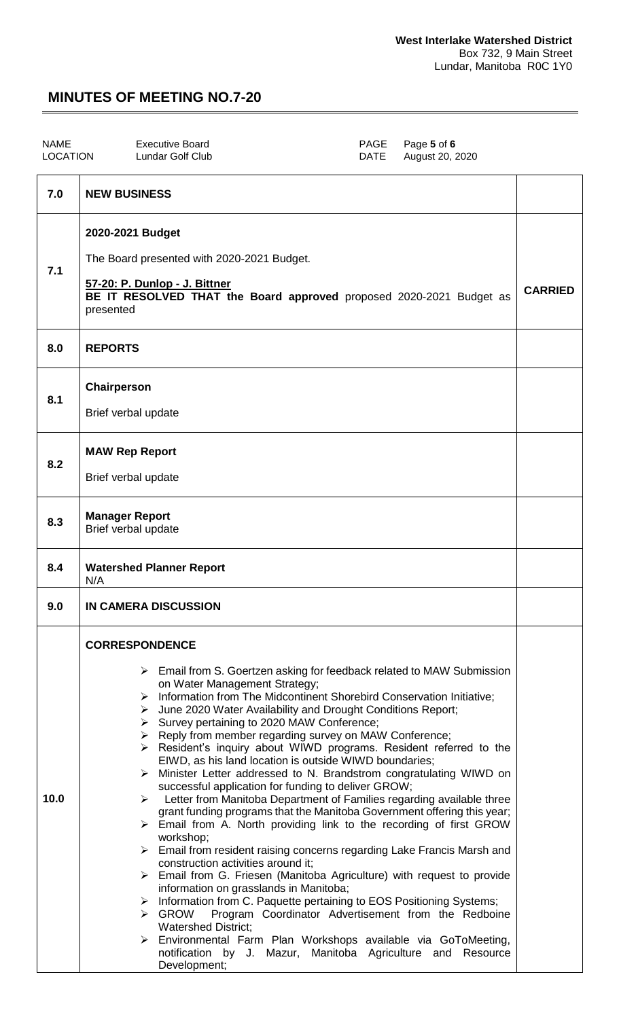| <b>NAME</b><br><b>LOCATION</b> | <b>Executive Board</b><br><b>PAGE</b><br>Page 5 of 6<br>Lundar Golf Club<br><b>DATE</b><br>August 20, 2020                                                                                                                                                                                                                                                                                                                                                                                                                                                                                                                                                                                                                                                                                                                                                                                                                                                                                                                                                                                                                                                                                                                                                                                                                                                                                                                                                                                                                               |                |
|--------------------------------|------------------------------------------------------------------------------------------------------------------------------------------------------------------------------------------------------------------------------------------------------------------------------------------------------------------------------------------------------------------------------------------------------------------------------------------------------------------------------------------------------------------------------------------------------------------------------------------------------------------------------------------------------------------------------------------------------------------------------------------------------------------------------------------------------------------------------------------------------------------------------------------------------------------------------------------------------------------------------------------------------------------------------------------------------------------------------------------------------------------------------------------------------------------------------------------------------------------------------------------------------------------------------------------------------------------------------------------------------------------------------------------------------------------------------------------------------------------------------------------------------------------------------------------|----------------|
| 7.0                            | <b>NEW BUSINESS</b>                                                                                                                                                                                                                                                                                                                                                                                                                                                                                                                                                                                                                                                                                                                                                                                                                                                                                                                                                                                                                                                                                                                                                                                                                                                                                                                                                                                                                                                                                                                      |                |
| 7.1                            | 2020-2021 Budget<br>The Board presented with 2020-2021 Budget.<br>57-20: P. Dunlop - J. Bittner<br>BE IT RESOLVED THAT the Board approved proposed 2020-2021 Budget as<br>presented                                                                                                                                                                                                                                                                                                                                                                                                                                                                                                                                                                                                                                                                                                                                                                                                                                                                                                                                                                                                                                                                                                                                                                                                                                                                                                                                                      | <b>CARRIED</b> |
| 8.0                            | <b>REPORTS</b>                                                                                                                                                                                                                                                                                                                                                                                                                                                                                                                                                                                                                                                                                                                                                                                                                                                                                                                                                                                                                                                                                                                                                                                                                                                                                                                                                                                                                                                                                                                           |                |
| 8.1                            | Chairperson<br>Brief verbal update                                                                                                                                                                                                                                                                                                                                                                                                                                                                                                                                                                                                                                                                                                                                                                                                                                                                                                                                                                                                                                                                                                                                                                                                                                                                                                                                                                                                                                                                                                       |                |
| 8.2                            | <b>MAW Rep Report</b><br>Brief verbal update                                                                                                                                                                                                                                                                                                                                                                                                                                                                                                                                                                                                                                                                                                                                                                                                                                                                                                                                                                                                                                                                                                                                                                                                                                                                                                                                                                                                                                                                                             |                |
| 8.3                            | <b>Manager Report</b><br>Brief verbal update                                                                                                                                                                                                                                                                                                                                                                                                                                                                                                                                                                                                                                                                                                                                                                                                                                                                                                                                                                                                                                                                                                                                                                                                                                                                                                                                                                                                                                                                                             |                |
| 8.4                            | <b>Watershed Planner Report</b><br>N/A                                                                                                                                                                                                                                                                                                                                                                                                                                                                                                                                                                                                                                                                                                                                                                                                                                                                                                                                                                                                                                                                                                                                                                                                                                                                                                                                                                                                                                                                                                   |                |
| 9.0                            | <b>IN CAMERA DISCUSSION</b>                                                                                                                                                                                                                                                                                                                                                                                                                                                                                                                                                                                                                                                                                                                                                                                                                                                                                                                                                                                                                                                                                                                                                                                                                                                                                                                                                                                                                                                                                                              |                |
| 10.0                           | <b>CORRESPONDENCE</b><br>$\triangleright$ Email from S. Goertzen asking for feedback related to MAW Submission<br>on Water Management Strategy;<br>Information from The Midcontinent Shorebird Conservation Initiative;<br>➤<br>> June 2020 Water Availability and Drought Conditions Report;<br>> Survey pertaining to 2020 MAW Conference;<br>> Reply from member regarding survey on MAW Conference;<br>> Resident's inquiry about WIWD programs. Resident referred to the<br>EIWD, as his land location is outside WIWD boundaries;<br>> Minister Letter addressed to N. Brandstrom congratulating WIWD on<br>successful application for funding to deliver GROW;<br>$\triangleright$ Letter from Manitoba Department of Families regarding available three<br>grant funding programs that the Manitoba Government offering this year;<br>$\triangleright$ Email from A. North providing link to the recording of first GROW<br>workshop;<br>$\triangleright$ Email from resident raising concerns regarding Lake Francis Marsh and<br>construction activities around it;<br>$\triangleright$ Email from G. Friesen (Manitoba Agriculture) with request to provide<br>information on grasslands in Manitoba;<br>> Information from C. Paquette pertaining to EOS Positioning Systems;<br>Program Coordinator Advertisement from the Redboine<br>$\triangleright$ GROW<br><b>Watershed District;</b><br>> Environmental Farm Plan Workshops available via GoToMeeting,<br>notification by J. Mazur, Manitoba Agriculture and Resource |                |

Development;